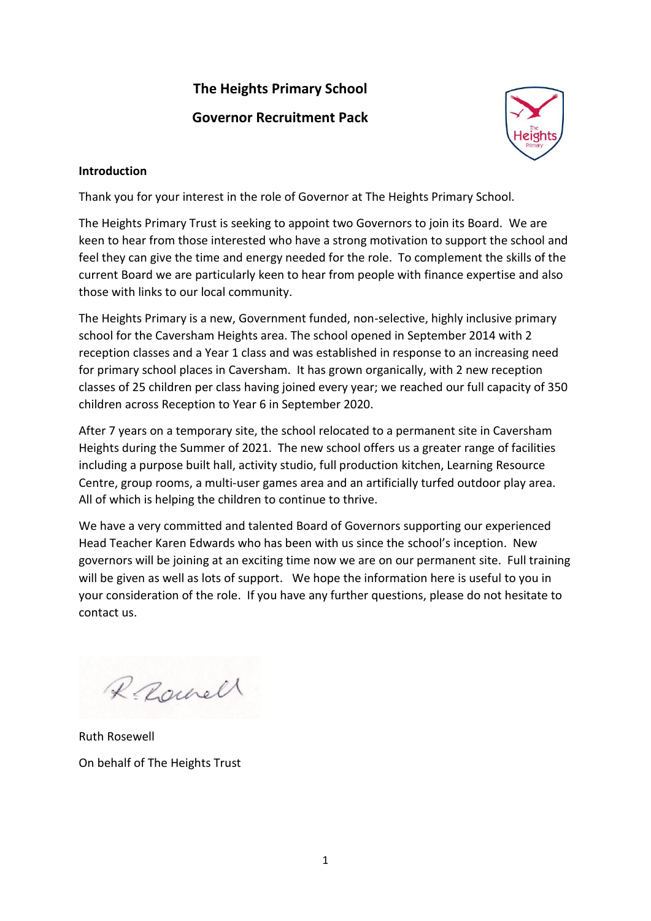# **The Heights Primary School Governor Recruitment Pack**



## **Introduction**

Thank you for your interest in the role of Governor at The Heights Primary School.

The Heights Primary Trust is seeking to appoint two Governors to join its Board. We are keen to hear from those interested who have a strong motivation to support the school and feel they can give the time and energy needed for the role. To complement the skills of the current Board we are particularly keen to hear from people with finance expertise and also those with links to our local community.

The Heights Primary is a new, Government funded, non-selective, highly inclusive primary school for the Caversham Heights area. The school opened in September 2014 with 2 reception classes and a Year 1 class and was established in response to an increasing need for primary school places in Caversham. It has grown organically, with 2 new reception classes of 25 children per class having joined every year; we reached our full capacity of 350 children across Reception to Year 6 in September 2020.

After 7 years on a temporary site, the school relocated to a permanent site in Caversham Heights during the Summer of 2021. The new school offers us a greater range of facilities including a purpose built hall, activity studio, full production kitchen, Learning Resource Centre, group rooms, a multi-user games area and an artificially turfed outdoor play area. All of which is helping the children to continue to thrive.

We have a very committed and talented Board of Governors supporting our experienced Head Teacher Karen Edwards who has been with us since the school's inception. New governors will be joining at an exciting time now we are on our permanent site. Full training will be given as well as lots of support. We hope the information here is useful to you in your consideration of the role. If you have any further questions, please do not hesitate to contact us.

Raunell

Ruth Rosewell On behalf of The Heights Trust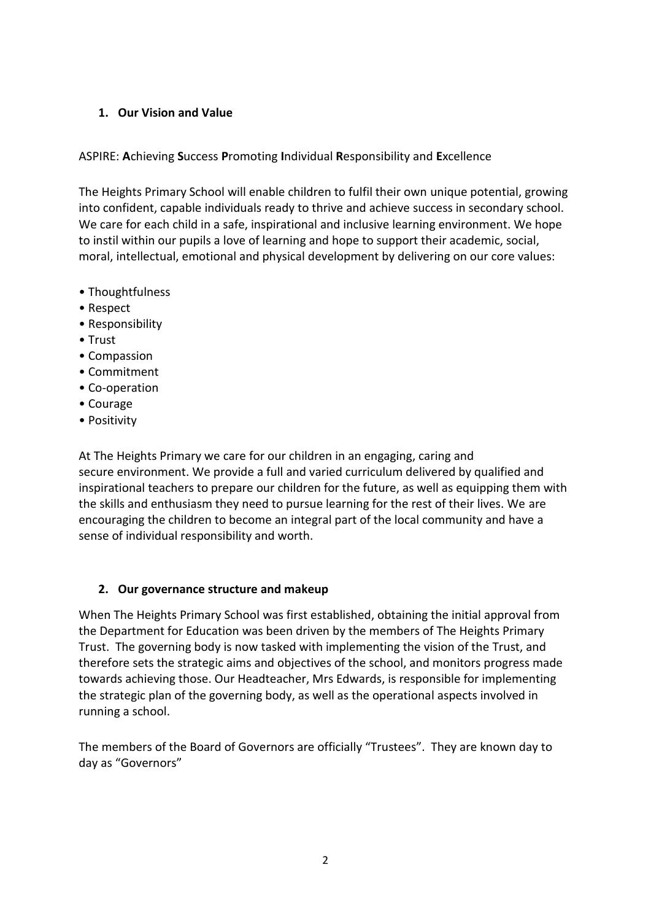## **1. Our Vision and Value**

ASPIRE: **A**chieving **S**uccess **P**romoting **I**ndividual **R**esponsibility and **E**xcellence

The Heights Primary School will enable children to fulfil their own unique potential, growing into confident, capable individuals ready to thrive and achieve success in secondary school. We care for each child in a safe, inspirational and inclusive learning environment. We hope to instil within our pupils a love of learning and hope to support their academic, social, moral, intellectual, emotional and physical development by delivering on our core values:

- Thoughtfulness
- Respect
- Responsibility
- Trust
- Compassion
- Commitment
- Co-operation
- Courage
- Positivity

At The Heights Primary we care for our children in an engaging, caring and secure environment. We provide a full and varied curriculum delivered by qualified and inspirational teachers to prepare our children for the future, as well as equipping them with the skills and enthusiasm they need to pursue learning for the rest of their lives. We are encouraging the children to become an integral part of the local community and have a sense of individual responsibility and worth.

# **2. Our governance structure and makeup**

When The Heights Primary School was first established, obtaining the initial approval from the Department for Education was been driven by the members of The Heights Primary Trust. The governing body is now tasked with implementing the vision of the Trust, and therefore sets the strategic aims and objectives of the school, and monitors progress made towards achieving those. Our Headteacher, Mrs Edwards, is responsible for implementing the strategic plan of the governing body, as well as the operational aspects involved in running a school.

The members of the Board of Governors are officially "Trustees". They are known day to day as "Governors"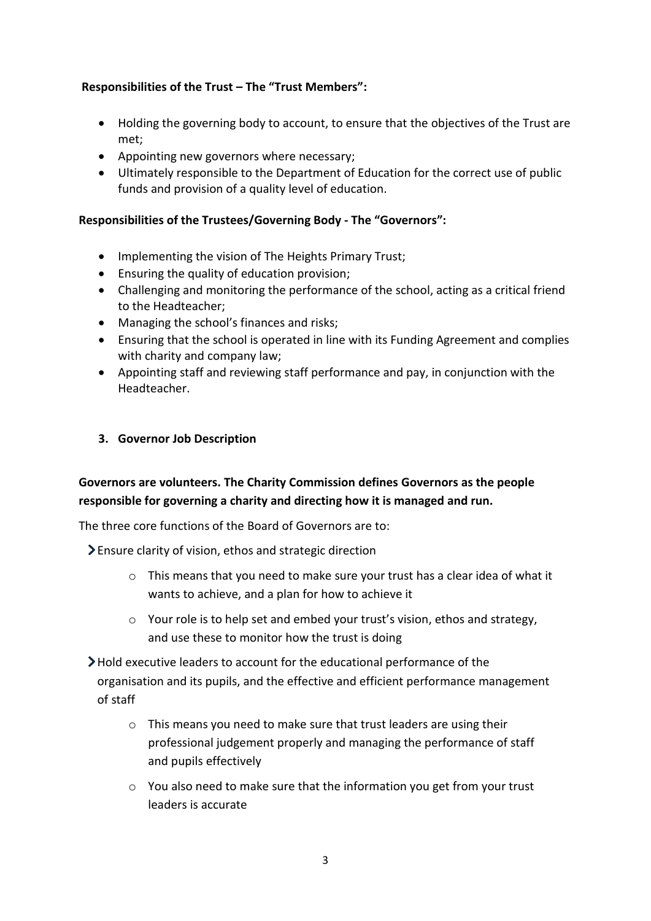## **Responsibilities of the Trust – The "Trust Members":**

- Holding the governing body to account, to ensure that the objectives of the Trust are met;
- Appointing new governors where necessary;
- Ultimately responsible to the Department of Education for the correct use of public funds and provision of a quality level of education.

#### **Responsibilities of the Trustees/Governing Body - The "Governors":**

- Implementing the vision of The Heights Primary Trust;
- Ensuring the quality of education provision;
- Challenging and monitoring the performance of the school, acting as a critical friend to the Headteacher;
- Managing the school's finances and risks;
- Ensuring that the school is operated in line with its Funding Agreement and complies with charity and company law;
- Appointing staff and reviewing staff performance and pay, in conjunction with the Headteacher.
- **3. Governor Job Description**

# **Governors are volunteers. The Charity Commission defines Governors as the people responsible for governing a charity and directing how it is managed and run.**

The three core functions of the Board of Governors are to:

Ensure clarity of vision, ethos and strategic direction

- o This means that you need to make sure your trust has a clear idea of what it wants to achieve, and a plan for how to achieve it
- $\circ$  Your role is to help set and embed your trust's vision, ethos and strategy, and use these to monitor how the trust is doing
- Hold executive leaders to account for the educational performance of the organisation and its pupils, and the effective and efficient performance management of staff
	- o This means you need to make sure that trust leaders are using their professional judgement properly and managing the performance of staff and pupils effectively
	- $\circ$  You also need to make sure that the information you get from your trust leaders is accurate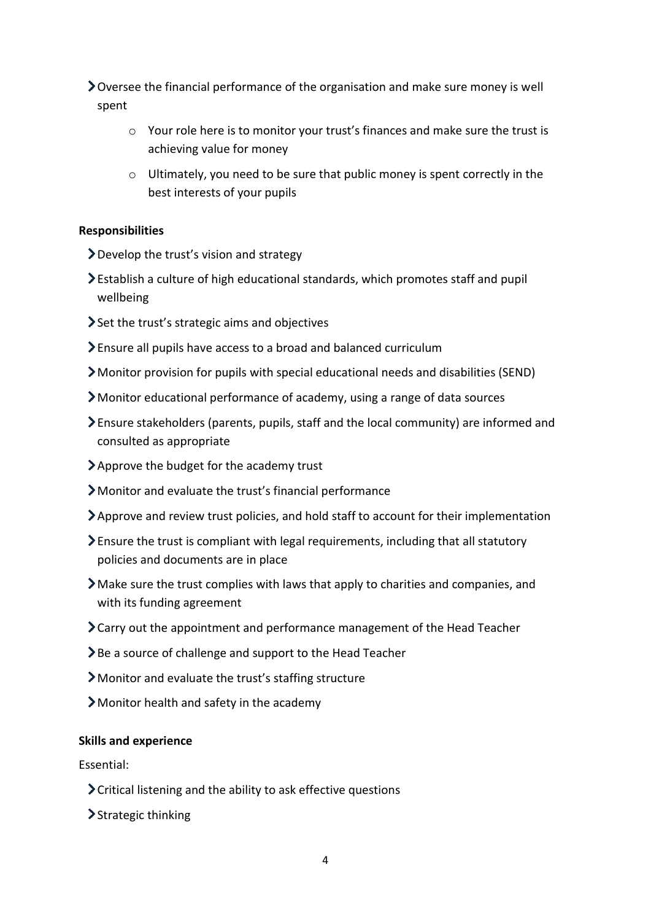Oversee the financial performance of the organisation and make sure money is well spent

- $\circ$  Your role here is to monitor your trust's finances and make sure the trust is achieving value for money
- o Ultimately, you need to be sure that public money is spent correctly in the best interests of your pupils

#### **Responsibilities**

- Develop the trust's vision and strategy
- Establish a culture of high educational standards, which promotes staff and pupil wellbeing
- Set the trust's strategic aims and objectives
- Ensure all pupils have access to a broad and balanced curriculum
- Monitor provision for pupils with special educational needs and disabilities (SEND)
- Monitor educational performance of academy, using a range of data sources
- Ensure stakeholders (parents, pupils, staff and the local community) are informed and consulted as appropriate
- Approve the budget for the academy trust
- Monitor and evaluate the trust's financial performance
- Approve and review trust policies, and hold staff to account for their implementation
- Ensure the trust is compliant with legal requirements, including that all statutory policies and documents are in place
- Make sure the trust complies with laws that apply to charities and companies, and with its funding agreement
- Carry out the appointment and performance management of the Head Teacher
- Be a source of challenge and support to the Head Teacher
- Monitor and evaluate the trust's staffing structure
- Monitor health and safety in the academy

#### **Skills and experience**

Essential:

- Critical listening and the ability to ask effective questions
- > Strategic thinking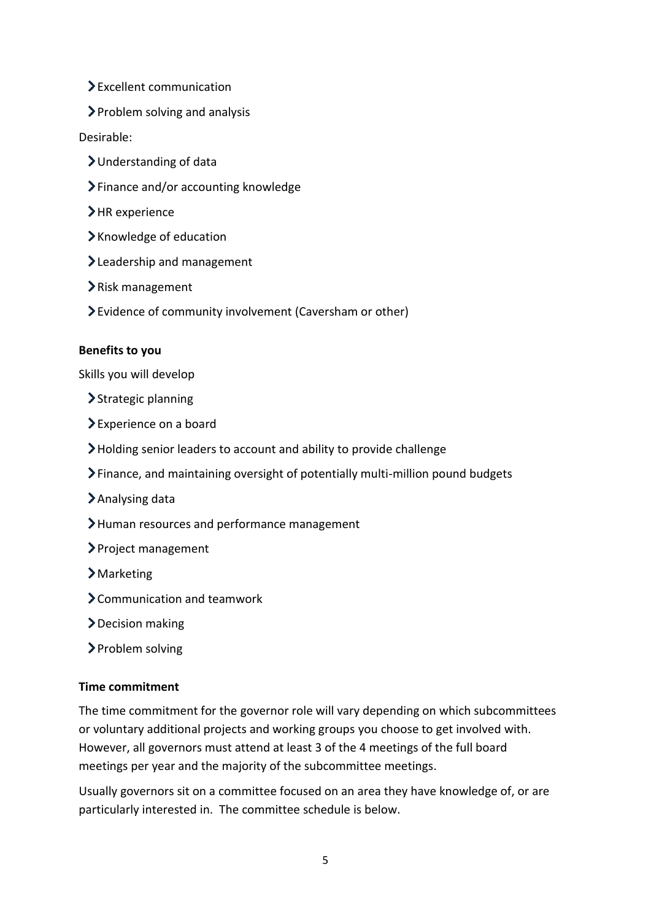- Excellent communication
- Problem solving and analysis

## Desirable:

- Understanding of data
- Finance and/or accounting knowledge
- >HR experience
- Knowledge of education
- >Leadership and management
- Risk management
- Evidence of community involvement (Caversham or other)

#### **Benefits to you**

Skills you will develop

- > Strategic planning
- Experience on a board
- Holding senior leaders to account and ability to provide challenge
- Finance, and maintaining oversight of potentially multi-million pound budgets
- Analysing data
- > Human resources and performance management
- > Project management
- Marketing
- Communication and teamwork
- Decision making
- > Problem solving

## **Time commitment**

The time commitment for the governor role will vary depending on which subcommittees or voluntary additional projects and working groups you choose to get involved with. However, all governors must attend at least 3 of the 4 meetings of the full board meetings per year and the majority of the subcommittee meetings.

Usually governors sit on a committee focused on an area they have knowledge of, or are particularly interested in. The committee schedule is below.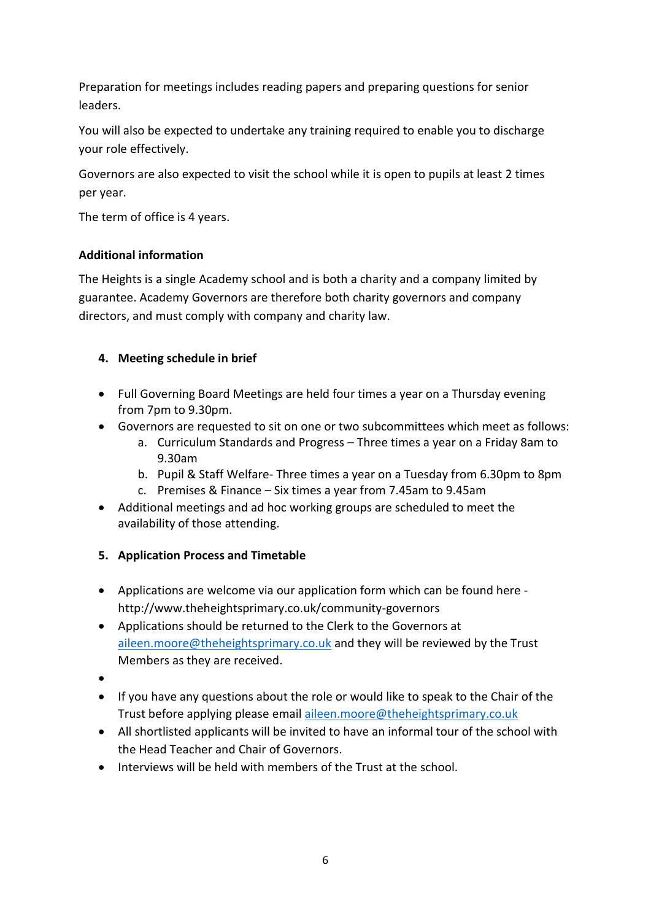Preparation for meetings includes reading papers and preparing questions for senior leaders.

You will also be expected to undertake any training required to enable you to discharge your role effectively.

Governors are also expected to visit the school while it is open to pupils at least 2 times per year.

The term of office is 4 years.

# **Additional information**

The Heights is a single Academy school and is both a charity and a company limited by guarantee. Academy Governors are therefore both charity governors and company directors, and must comply with company and charity law.

# **4. Meeting schedule in brief**

- Full Governing Board Meetings are held four times a year on a Thursday evening from 7pm to 9.30pm.
- Governors are requested to sit on one or two subcommittees which meet as follows:
	- a. Curriculum Standards and Progress Three times a year on a Friday 8am to 9.30am
	- b. Pupil & Staff Welfare- Three times a year on a Tuesday from 6.30pm to 8pm
	- c. Premises & Finance Six times a year from 7.45am to 9.45am
- Additional meetings and ad hoc working groups are scheduled to meet the availability of those attending.

# **5. Application Process and Timetable**

- Applications are welcome via our application form which can be found here http://www.theheightsprimary.co.uk/community-governors
- Applications should be returned to the Clerk to the Governors at [aileen.moore@theheightsprimary.co.uk](mailto:aileen.moore@theheightsprimary.co.uk) and they will be reviewed by the Trust Members as they are received.
- $\bullet$
- If you have any questions about the role or would like to speak to the Chair of the Trust before applying please emai[l aileen.moore@theheightsprimary.co.uk](mailto:aileen.moore@theheightsprimary.co.uk)
- All shortlisted applicants will be invited to have an informal tour of the school with the Head Teacher and Chair of Governors.
- Interviews will be held with members of the Trust at the school.